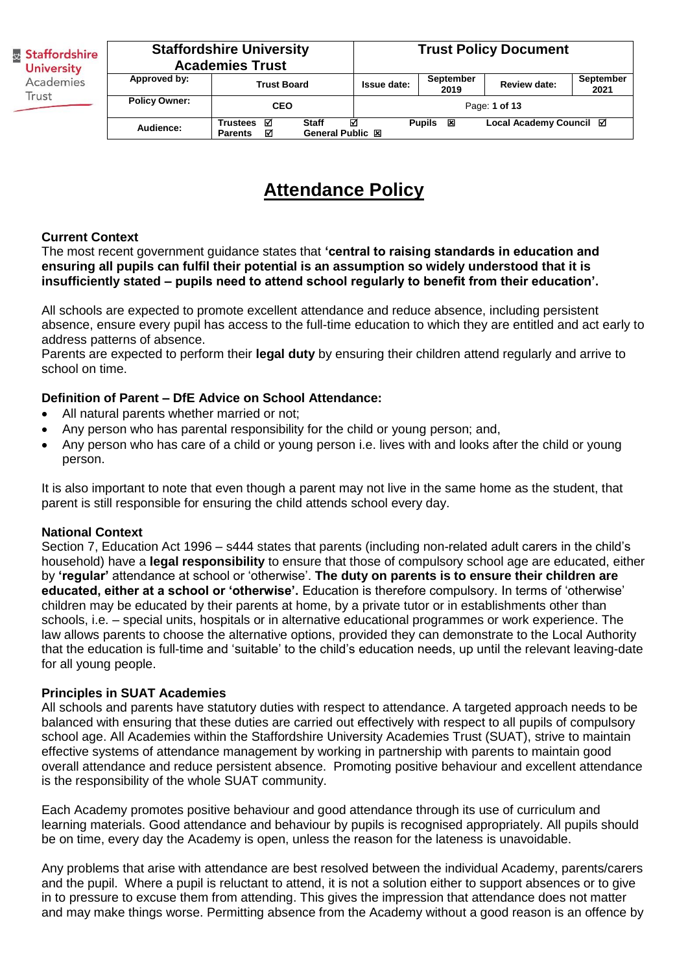| <b>Staffordshire</b><br><b>University</b><br>Academies<br>Trust |                      | <b>Staffordshire University</b><br><b>Academies Trust</b> |                                  | <b>Trust Policy Document</b>                            |                        |                         |                          |
|-----------------------------------------------------------------|----------------------|-----------------------------------------------------------|----------------------------------|---------------------------------------------------------|------------------------|-------------------------|--------------------------|
|                                                                 | Approved by:         | <b>Trust Board</b>                                        |                                  | September<br><b>Review date:</b><br>Issue date:<br>2019 |                        |                         | <b>September</b><br>2021 |
|                                                                 | <b>Policy Owner:</b> | <b>CEO</b>                                                |                                  |                                                         |                        | Page: 1 of 13           |                          |
|                                                                 | Audience:            | ⊠<br><b>Trustees</b><br>☑<br><b>Parents</b>               | <b>Staff</b><br>General Public 図 | ☑                                                       | Pupils<br>$\mathbf{x}$ | Local Academy Council ⊠ |                          |

# **Attendance Policy**

### **Current Context**

The most recent government guidance states that **'central to raising standards in education and ensuring all pupils can fulfil their potential is an assumption so widely understood that it is insufficiently stated – pupils need to attend school regularly to benefit from their education'.** 

All schools are expected to promote excellent attendance and reduce absence, including persistent absence, ensure every pupil has access to the full-time education to which they are entitled and act early to address patterns of absence.

Parents are expected to perform their **legal duty** by ensuring their children attend regularly and arrive to school on time.

### **Definition of Parent – DfE Advice on School Attendance:**

- All natural parents whether married or not;
- Any person who has parental responsibility for the child or young person; and,
- Any person who has care of a child or young person i.e. lives with and looks after the child or young person.

It is also important to note that even though a parent may not live in the same home as the student, that parent is still responsible for ensuring the child attends school every day.

#### **National Context**

Section 7, Education Act 1996 – s444 states that parents (including non-related adult carers in the child's household) have a **legal responsibility** to ensure that those of compulsory school age are educated, either by **'regular'** attendance at school or 'otherwise'. **The duty on parents is to ensure their children are educated, either at a school or 'otherwise'.** Education is therefore compulsory. In terms of 'otherwise' children may be educated by their parents at home, by a private tutor or in establishments other than schools, i.e. – special units, hospitals or in alternative educational programmes or work experience. The law allows parents to choose the alternative options, provided they can demonstrate to the Local Authority that the education is full-time and 'suitable' to the child's education needs, up until the relevant leaving-date for all young people.

#### **Principles in SUAT Academies**

All schools and parents have statutory duties with respect to attendance. A targeted approach needs to be balanced with ensuring that these duties are carried out effectively with respect to all pupils of compulsory school age. All Academies within the Staffordshire University Academies Trust (SUAT), strive to maintain effective systems of attendance management by working in partnership with parents to maintain good overall attendance and reduce persistent absence. Promoting positive behaviour and excellent attendance is the responsibility of the whole SUAT community.

Each Academy promotes positive behaviour and good attendance through its use of curriculum and learning materials. Good attendance and behaviour by pupils is recognised appropriately. All pupils should be on time, every day the Academy is open, unless the reason for the lateness is unavoidable.

Any problems that arise with attendance are best resolved between the individual Academy, parents/carers and the pupil. Where a pupil is reluctant to attend, it is not a solution either to support absences or to give in to pressure to excuse them from attending. This gives the impression that attendance does not matter and may make things worse. Permitting absence from the Academy without a good reason is an offence by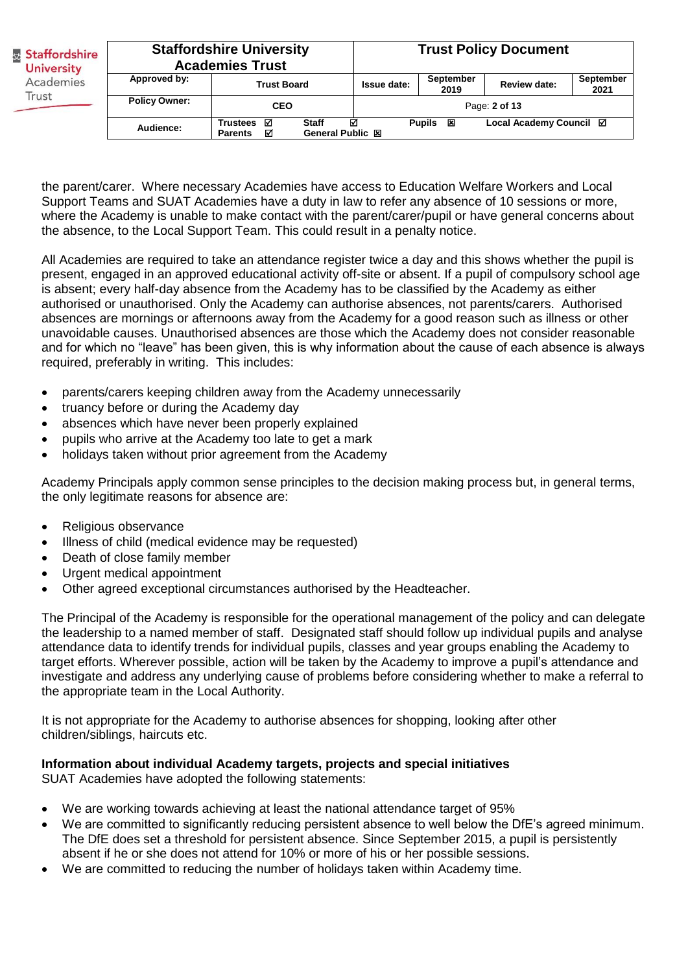| & Staffordshire<br><b>University</b><br>Academies | <b>Staffordshire University</b><br><b>Academies Trust</b> |                                                                              |             | <b>Trust Policy Document</b> |                         |                          |
|---------------------------------------------------|-----------------------------------------------------------|------------------------------------------------------------------------------|-------------|------------------------------|-------------------------|--------------------------|
|                                                   | Approved by:                                              | <b>Trust Board</b>                                                           | Issue date: | September<br>2019            | <b>Review date:</b>     | <b>September</b><br>2021 |
| Trust                                             | <b>Policy Owner:</b>                                      | <b>CEO</b>                                                                   |             |                              | Page: 2 of 13           |                          |
|                                                   | Audience:                                                 | Trustees <b>☑</b><br><b>Staff</b><br>General Public 図<br>М<br><b>Parents</b> | ⊠           | <b>Pupils</b><br>⊠           | Local Academy Council ⊠ |                          |

the parent/carer. Where necessary Academies have access to Education Welfare Workers and Local Support Teams and SUAT Academies have a duty in law to refer any absence of 10 sessions or more, where the Academy is unable to make contact with the parent/carer/pupil or have general concerns about the absence, to the Local Support Team. This could result in a penalty notice.

All Academies are required to take an attendance register twice a day and this shows whether the pupil is present, engaged in an approved educational activity off-site or absent. If a pupil of compulsory school age is absent; every half-day absence from the Academy has to be classified by the Academy as either authorised or unauthorised. Only the Academy can authorise absences, not parents/carers. Authorised absences are mornings or afternoons away from the Academy for a good reason such as illness or other unavoidable causes. Unauthorised absences are those which the Academy does not consider reasonable and for which no "leave" has been given, this is why information about the cause of each absence is always required, preferably in writing. This includes:

- parents/carers keeping children away from the Academy unnecessarily
- truancy before or during the Academy day
- absences which have never been properly explained
- pupils who arrive at the Academy too late to get a mark
- holidays taken without prior agreement from the Academy

Academy Principals apply common sense principles to the decision making process but, in general terms, the only legitimate reasons for absence are:

- Religious observance
- Illness of child (medical evidence may be requested)
- Death of close family member
- Urgent medical appointment
- Other agreed exceptional circumstances authorised by the Headteacher.

The Principal of the Academy is responsible for the operational management of the policy and can delegate the leadership to a named member of staff. Designated staff should follow up individual pupils and analyse attendance data to identify trends for individual pupils, classes and year groups enabling the Academy to target efforts. Wherever possible, action will be taken by the Academy to improve a pupil's attendance and investigate and address any underlying cause of problems before considering whether to make a referral to the appropriate team in the Local Authority.

It is not appropriate for the Academy to authorise absences for shopping, looking after other children/siblings, haircuts etc.

### **Information about individual Academy targets, projects and special initiatives**

SUAT Academies have adopted the following statements:

- We are working towards achieving at least the national attendance target of 95%
- We are committed to significantly reducing persistent absence to well below the DfE's agreed minimum. The DfE does set a threshold for persistent absence. Since September 2015, a pupil is persistently absent if he or she does not attend for 10% or more of his or her possible sessions.
- We are committed to reducing the number of holidays taken within Academy time.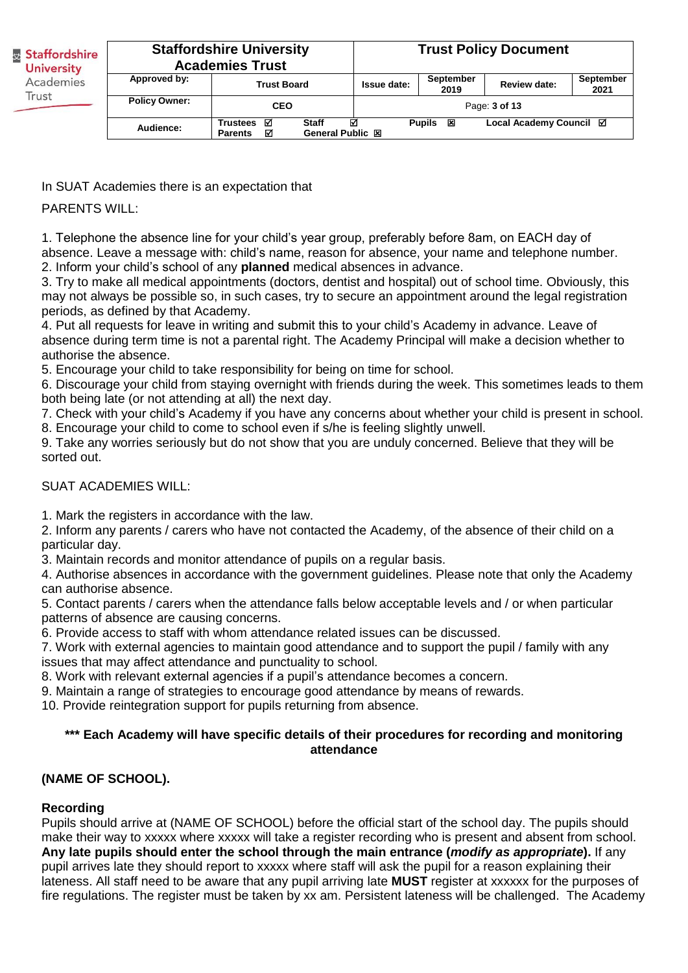| Staffordshire<br><b>University</b><br>Academies<br>Trust |                      | <b>Staffordshire University</b><br><b>Academies Trust</b> |                                              | <b>Trust Policy Document</b> |                    |                         |  |
|----------------------------------------------------------|----------------------|-----------------------------------------------------------|----------------------------------------------|------------------------------|--------------------|-------------------------|--|
|                                                          | Approved by:         | <b>Trust Board</b>                                        | <b>September</b><br>Issue date:<br>2019      |                              | Review date:       | September<br>2021       |  |
|                                                          | <b>Policy Owner:</b> | <b>CEO</b>                                                |                                              |                              |                    | Page: 3 of 13           |  |
|                                                          | Audience:            | <b>Trustees</b><br>⊠<br>☑<br><b>Parents</b>               | <b>Staff</b><br>☑<br><b>General Public 図</b> |                              | <b>Pupils</b><br>× | Local Academy Council ⊠ |  |

In SUAT Academies there is an expectation that

PARFNTS WILL:

1. Telephone the absence line for your child's year group, preferably before 8am, on EACH day of absence. Leave a message with: child's name, reason for absence, your name and telephone number. 2. Inform your child's school of any **planned** medical absences in advance.

3. Try to make all medical appointments (doctors, dentist and hospital) out of school time. Obviously, this may not always be possible so, in such cases, try to secure an appointment around the legal registration periods, as defined by that Academy.

4. Put all requests for leave in writing and submit this to your child's Academy in advance. Leave of absence during term time is not a parental right. The Academy Principal will make a decision whether to authorise the absence.

5. Encourage your child to take responsibility for being on time for school.

6. Discourage your child from staying overnight with friends during the week. This sometimes leads to them both being late (or not attending at all) the next day.

7. Check with your child's Academy if you have any concerns about whether your child is present in school. 8. Encourage your child to come to school even if s/he is feeling slightly unwell.

9. Take any worries seriously but do not show that you are unduly concerned. Believe that they will be sorted out.

# SUAT ACADEMIES WILL:

1. Mark the registers in accordance with the law.

2. Inform any parents / carers who have not contacted the Academy, of the absence of their child on a particular day.

3. Maintain records and monitor attendance of pupils on a regular basis.

4. Authorise absences in accordance with the government guidelines. Please note that only the Academy can authorise absence.

5. Contact parents / carers when the attendance falls below acceptable levels and / or when particular patterns of absence are causing concerns.

6. Provide access to staff with whom attendance related issues can be discussed.

7. Work with external agencies to maintain good attendance and to support the pupil / family with any issues that may affect attendance and punctuality to school.

8. Work with relevant external agencies if a pupil's attendance becomes a concern.

9. Maintain a range of strategies to encourage good attendance by means of rewards.

10. Provide reintegration support for pupils returning from absence.

#### **\*\*\* Each Academy will have specific details of their procedures for recording and monitoring attendance**

# **(NAME OF SCHOOL).**

# **Recording**

Pupils should arrive at (NAME OF SCHOOL) before the official start of the school day. The pupils should make their way to xxxxx where xxxxx will take a register recording who is present and absent from school. **Any late pupils should enter the school through the main entrance (***modify as appropriate***).** If any pupil arrives late they should report to xxxxx where staff will ask the pupil for a reason explaining their lateness. All staff need to be aware that any pupil arriving late **MUST** register at xxxxxx for the purposes of fire regulations. The register must be taken by xx am. Persistent lateness will be challenged. The Academy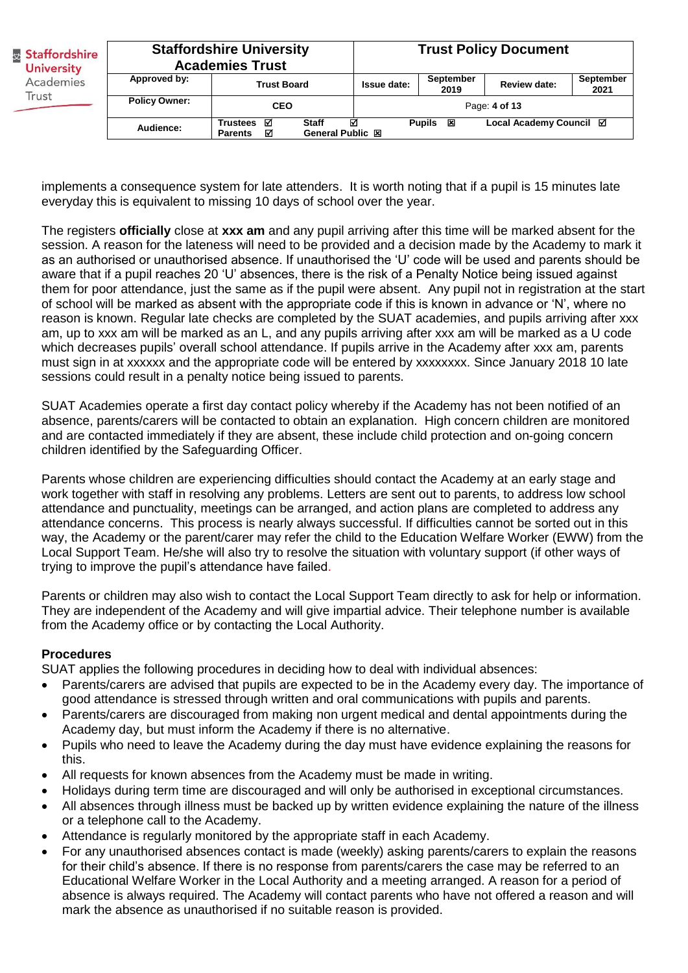| <b>Staffordshire</b><br><b>University</b><br>Academies<br>Trust |                      | <b>Staffordshire University</b><br><b>Academies Trust</b>                           | <b>Trust Policy Document</b> |                          |                         |                          |
|-----------------------------------------------------------------|----------------------|-------------------------------------------------------------------------------------|------------------------------|--------------------------|-------------------------|--------------------------|
|                                                                 | Approved by:         | <b>Trust Board</b>                                                                  | Issue date:                  | <b>September</b><br>2019 | <b>Review date:</b>     | <b>September</b><br>2021 |
|                                                                 | <b>Policy Owner:</b> | <b>CEO</b>                                                                          |                              |                          | Page: 4 of 13           |                          |
|                                                                 | Audience:            | Trustees <b>☑</b><br><b>Staff</b><br><b>General Public 図</b><br>М<br><b>Parents</b> | ☑                            | Pupils 図                 | Local Academy Council ⊠ |                          |

implements a consequence system for late attenders. It is worth noting that if a pupil is 15 minutes late everyday this is equivalent to missing 10 days of school over the year.

The registers **officially** close at **xxx am** and any pupil arriving after this time will be marked absent for the session. A reason for the lateness will need to be provided and a decision made by the Academy to mark it as an authorised or unauthorised absence. If unauthorised the 'U' code will be used and parents should be aware that if a pupil reaches 20 'U' absences, there is the risk of a Penalty Notice being issued against them for poor attendance, just the same as if the pupil were absent. Any pupil not in registration at the start of school will be marked as absent with the appropriate code if this is known in advance or 'N', where no reason is known. Regular late checks are completed by the SUAT academies, and pupils arriving after xxx am, up to xxx am will be marked as an L, and any pupils arriving after xxx am will be marked as a U code which decreases pupils' overall school attendance. If pupils arrive in the Academy after xxx am, parents must sign in at xxxxxx and the appropriate code will be entered by xxxxxxxx. Since January 2018 10 late sessions could result in a penalty notice being issued to parents.

SUAT Academies operate a first day contact policy whereby if the Academy has not been notified of an absence, parents/carers will be contacted to obtain an explanation. High concern children are monitored and are contacted immediately if they are absent, these include child protection and on-going concern children identified by the Safeguarding Officer.

Parents whose children are experiencing difficulties should contact the Academy at an early stage and work together with staff in resolving any problems. Letters are sent out to parents, to address low school attendance and punctuality, meetings can be arranged, and action plans are completed to address any attendance concerns. This process is nearly always successful. If difficulties cannot be sorted out in this way, the Academy or the parent/carer may refer the child to the Education Welfare Worker (EWW) from the Local Support Team. He/she will also try to resolve the situation with voluntary support (if other ways of trying to improve the pupil's attendance have failed.

Parents or children may also wish to contact the Local Support Team directly to ask for help or information. They are independent of the Academy and will give impartial advice. Their telephone number is available from the Academy office or by contacting the Local Authority.

### **Procedures**

SUAT applies the following procedures in deciding how to deal with individual absences:

- Parents/carers are advised that pupils are expected to be in the Academy every day. The importance of good attendance is stressed through written and oral communications with pupils and parents.
- Parents/carers are discouraged from making non urgent medical and dental appointments during the Academy day, but must inform the Academy if there is no alternative.
- Pupils who need to leave the Academy during the day must have evidence explaining the reasons for this.
- All requests for known absences from the Academy must be made in writing.
- Holidays during term time are discouraged and will only be authorised in exceptional circumstances.
- All absences through illness must be backed up by written evidence explaining the nature of the illness or a telephone call to the Academy.
- Attendance is regularly monitored by the appropriate staff in each Academy.
- For any unauthorised absences contact is made (weekly) asking parents/carers to explain the reasons for their child's absence. If there is no response from parents/carers the case may be referred to an Educational Welfare Worker in the Local Authority and a meeting arranged. A reason for a period of absence is always required. The Academy will contact parents who have not offered a reason and will mark the absence as unauthorised if no suitable reason is provided.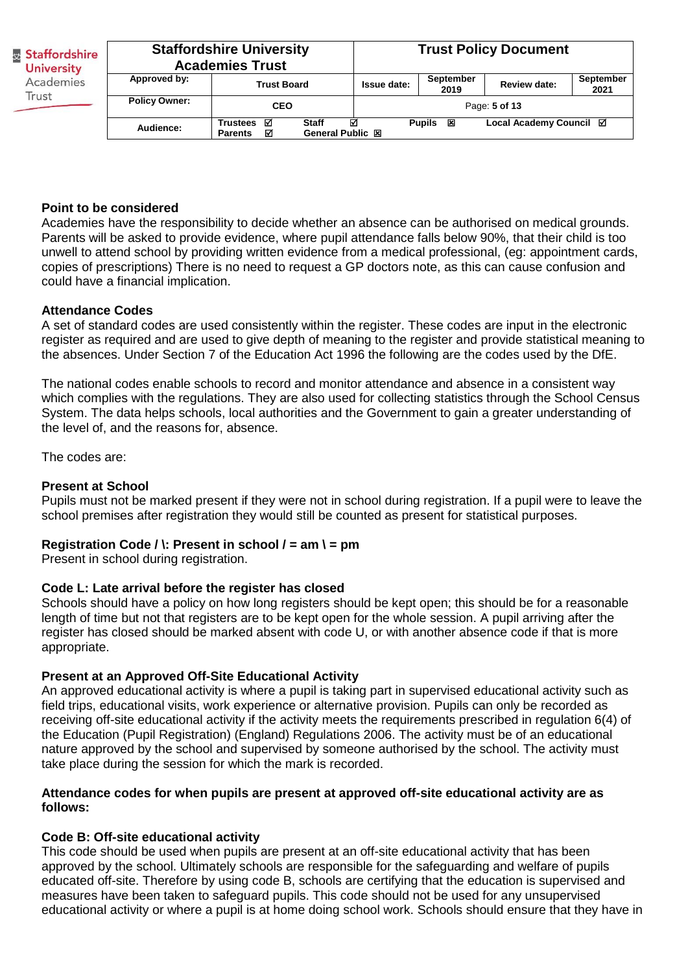| <b>Staffordshire</b><br><b>University</b><br>Academies<br>Trust |                      | <b>Staffordshire University</b><br><b>Academies Trust</b>                    | <b>Trust Policy Document</b> |                    |                         |                          |
|-----------------------------------------------------------------|----------------------|------------------------------------------------------------------------------|------------------------------|--------------------|-------------------------|--------------------------|
|                                                                 | Approved by:         | <b>Trust Board</b>                                                           | <b>Issue date:</b>           | September<br>2019  | <b>Review date:</b>     | <b>September</b><br>2021 |
|                                                                 | <b>Policy Owner:</b> | <b>CEO</b>                                                                   |                              |                    | Page: 5 of 13           |                          |
|                                                                 | Audience:            | <b>Staff</b><br>Trustees <b>☑</b><br>General Public 図<br>М<br><b>Parents</b> | ⊠                            | <b>Pupils</b><br>⊠ | Local Academy Council ⊠ |                          |

### **Point to be considered**

Academies have the responsibility to decide whether an absence can be authorised on medical grounds. Parents will be asked to provide evidence, where pupil attendance falls below 90%, that their child is too unwell to attend school by providing written evidence from a medical professional, (eg: appointment cards, copies of prescriptions) There is no need to request a GP doctors note, as this can cause confusion and could have a financial implication.

#### **Attendance Codes**

A set of standard codes are used consistently within the register. These codes are input in the electronic register as required and are used to give depth of meaning to the register and provide statistical meaning to the absences. Under Section 7 of the Education Act 1996 the following are the codes used by the DfE.

The national codes enable schools to record and monitor attendance and absence in a consistent way which complies with the regulations. They are also used for collecting statistics through the School Census System. The data helps schools, local authorities and the Government to gain a greater understanding of the level of, and the reasons for, absence.

The codes are:

#### **Present at School**

Pupils must not be marked present if they were not in school during registration. If a pupil were to leave the school premises after registration they would still be counted as present for statistical purposes.

### **Registration Code / \: Present in school / = am \ = pm**

Present in school during registration.

#### **Code L: Late arrival before the register has closed**

Schools should have a policy on how long registers should be kept open; this should be for a reasonable length of time but not that registers are to be kept open for the whole session. A pupil arriving after the register has closed should be marked absent with code U, or with another absence code if that is more appropriate.

### **Present at an Approved Off-Site Educational Activity**

An approved educational activity is where a pupil is taking part in supervised educational activity such as field trips, educational visits, work experience or alternative provision. Pupils can only be recorded as receiving off-site educational activity if the activity meets the requirements prescribed in regulation 6(4) of the Education (Pupil Registration) (England) Regulations 2006. The activity must be of an educational nature approved by the school and supervised by someone authorised by the school. The activity must take place during the session for which the mark is recorded.

#### **Attendance codes for when pupils are present at approved off-site educational activity are as follows:**

#### **Code B: Off-site educational activity**

This code should be used when pupils are present at an off-site educational activity that has been approved by the school. Ultimately schools are responsible for the safeguarding and welfare of pupils educated off-site. Therefore by using code B, schools are certifying that the education is supervised and measures have been taken to safeguard pupils. This code should not be used for any unsupervised educational activity or where a pupil is at home doing school work. Schools should ensure that they have in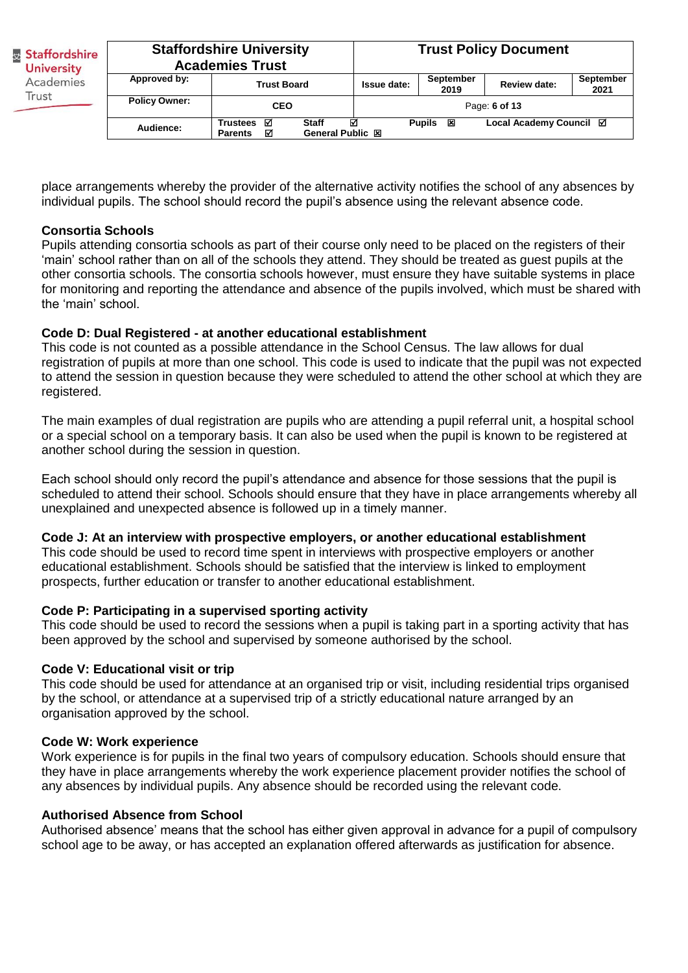| Staffordshire<br><b>University</b><br>Academies<br>Trust |                      | <b>Staffordshire University</b><br><b>Academies Trust</b>                    | <b>Trust Policy Document</b> |                          |                         |                          |
|----------------------------------------------------------|----------------------|------------------------------------------------------------------------------|------------------------------|--------------------------|-------------------------|--------------------------|
|                                                          | Approved by:         | <b>Trust Board</b>                                                           | <b>Issue date:</b>           | <b>September</b><br>2019 | <b>Review date:</b>     | <b>September</b><br>2021 |
|                                                          | <b>Policy Owner:</b> | <b>CEO</b>                                                                   |                              |                          | Page: 6 of 13           |                          |
|                                                          | Audience:            | Trustees <b>⊠</b><br><b>Staff</b><br>General Public 図<br>☑<br><b>Parents</b> | ☑                            | Pupils<br>×              | Local Academy Council ⊠ |                          |

place arrangements whereby the provider of the alternative activity notifies the school of any absences by individual pupils. The school should record the pupil's absence using the relevant absence code.

### **Consortia Schools**

Pupils attending consortia schools as part of their course only need to be placed on the registers of their 'main' school rather than on all of the schools they attend. They should be treated as guest pupils at the other consortia schools. The consortia schools however, must ensure they have suitable systems in place for monitoring and reporting the attendance and absence of the pupils involved, which must be shared with the 'main' school.

### **Code D: Dual Registered - at another educational establishment**

This code is not counted as a possible attendance in the School Census. The law allows for dual registration of pupils at more than one school. This code is used to indicate that the pupil was not expected to attend the session in question because they were scheduled to attend the other school at which they are registered.

The main examples of dual registration are pupils who are attending a pupil referral unit, a hospital school or a special school on a temporary basis. It can also be used when the pupil is known to be registered at another school during the session in question.

Each school should only record the pupil's attendance and absence for those sessions that the pupil is scheduled to attend their school. Schools should ensure that they have in place arrangements whereby all unexplained and unexpected absence is followed up in a timely manner.

### **Code J: At an interview with prospective employers, or another educational establishment**

This code should be used to record time spent in interviews with prospective employers or another educational establishment. Schools should be satisfied that the interview is linked to employment prospects, further education or transfer to another educational establishment.

# **Code P: Participating in a supervised sporting activity**

This code should be used to record the sessions when a pupil is taking part in a sporting activity that has been approved by the school and supervised by someone authorised by the school.

### **Code V: Educational visit or trip**

This code should be used for attendance at an organised trip or visit, including residential trips organised by the school, or attendance at a supervised trip of a strictly educational nature arranged by an organisation approved by the school.

### **Code W: Work experience**

Work experience is for pupils in the final two years of compulsory education. Schools should ensure that they have in place arrangements whereby the work experience placement provider notifies the school of any absences by individual pupils. Any absence should be recorded using the relevant code.

### **Authorised Absence from School**

Authorised absence' means that the school has either given approval in advance for a pupil of compulsory school age to be away, or has accepted an explanation offered afterwards as justification for absence.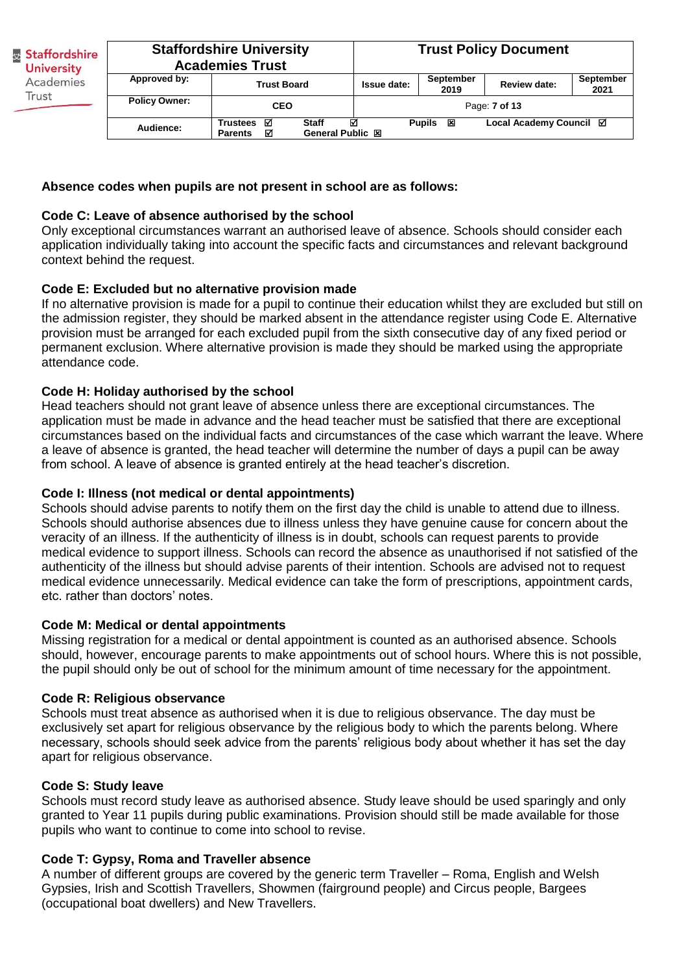| <b>Staffordshire</b><br><b>University</b><br>Academies<br>Trust |                      | <b>Staffordshire University</b><br><b>Academies Trust</b> |                                  | <b>Trust Policy Document</b> |                          |                         |                   |
|-----------------------------------------------------------------|----------------------|-----------------------------------------------------------|----------------------------------|------------------------------|--------------------------|-------------------------|-------------------|
|                                                                 | Approved by:         | <b>Trust Board</b>                                        |                                  | <b>Issue date:</b>           | <b>September</b><br>2019 | <b>Review date:</b>     | September<br>2021 |
|                                                                 | <b>Policy Owner:</b> | <b>CEO</b>                                                |                                  |                              |                          | Page: 7 of 13           |                   |
|                                                                 | Audience:            | Trustees <b>☑</b><br>☑<br><b>Parents</b>                  | <b>Staff</b><br>General Public 図 | ☑                            | Pupils<br>阿              | Local Academy Council ⊠ |                   |

### **Absence codes when pupils are not present in school are as follows:**

### **Code C: Leave of absence authorised by the school**

Only exceptional circumstances warrant an authorised leave of absence. Schools should consider each application individually taking into account the specific facts and circumstances and relevant background context behind the request.

### **Code E: Excluded but no alternative provision made**

If no alternative provision is made for a pupil to continue their education whilst they are excluded but still on the admission register, they should be marked absent in the attendance register using Code E. Alternative provision must be arranged for each excluded pupil from the sixth consecutive day of any fixed period or permanent exclusion. Where alternative provision is made they should be marked using the appropriate attendance code.

### **Code H: Holiday authorised by the school**

Head teachers should not grant leave of absence unless there are exceptional circumstances. The application must be made in advance and the head teacher must be satisfied that there are exceptional circumstances based on the individual facts and circumstances of the case which warrant the leave. Where a leave of absence is granted, the head teacher will determine the number of days a pupil can be away from school. A leave of absence is granted entirely at the head teacher's discretion.

### **Code I: Illness (not medical or dental appointments)**

Schools should advise parents to notify them on the first day the child is unable to attend due to illness. Schools should authorise absences due to illness unless they have genuine cause for concern about the veracity of an illness. If the authenticity of illness is in doubt, schools can request parents to provide medical evidence to support illness. Schools can record the absence as unauthorised if not satisfied of the authenticity of the illness but should advise parents of their intention. Schools are advised not to request medical evidence unnecessarily. Medical evidence can take the form of prescriptions, appointment cards, etc. rather than doctors' notes.

### **Code M: Medical or dental appointments**

Missing registration for a medical or dental appointment is counted as an authorised absence. Schools should, however, encourage parents to make appointments out of school hours. Where this is not possible, the pupil should only be out of school for the minimum amount of time necessary for the appointment.

### **Code R: Religious observance**

Schools must treat absence as authorised when it is due to religious observance. The day must be exclusively set apart for religious observance by the religious body to which the parents belong. Where necessary, schools should seek advice from the parents' religious body about whether it has set the day apart for religious observance.

### **Code S: Study leave**

Schools must record study leave as authorised absence. Study leave should be used sparingly and only granted to Year 11 pupils during public examinations. Provision should still be made available for those pupils who want to continue to come into school to revise.

# **Code T: Gypsy, Roma and Traveller absence**

A number of different groups are covered by the generic term Traveller – Roma, English and Welsh Gypsies, Irish and Scottish Travellers, Showmen (fairground people) and Circus people, Bargees (occupational boat dwellers) and New Travellers.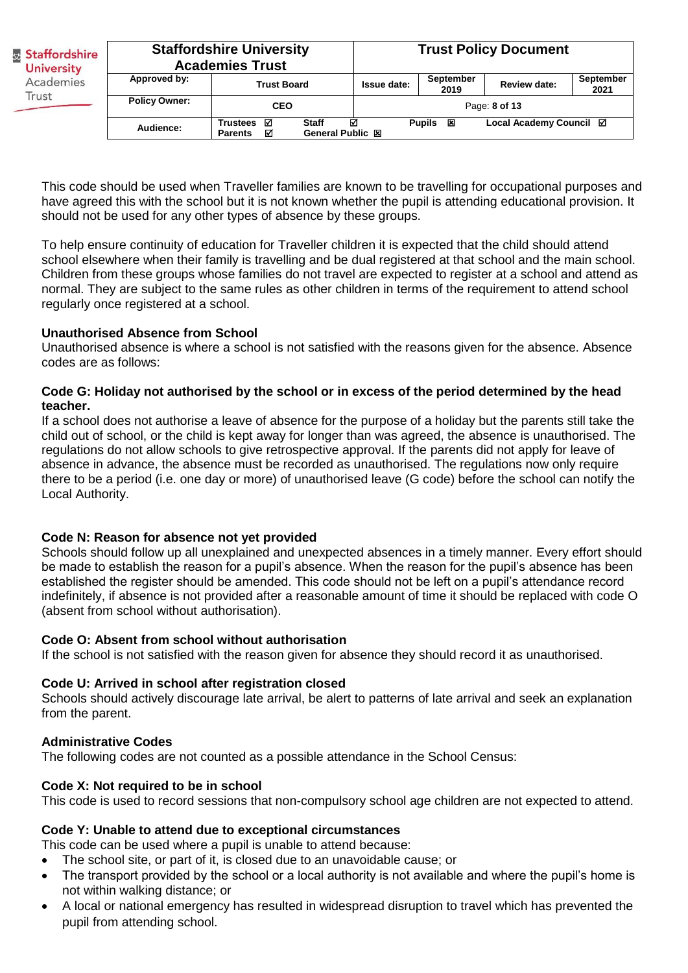| & Staffordshire<br><b>University</b><br>Academies<br>Trust |                      | <b>Staffordshire University</b><br><b>Academies Trust</b>                    | <b>Trust Policy Document</b> |                    |                         |                          |
|------------------------------------------------------------|----------------------|------------------------------------------------------------------------------|------------------------------|--------------------|-------------------------|--------------------------|
|                                                            | Approved by:         | <b>Trust Board</b>                                                           | Issue date:                  | September<br>2019  | Review date:            | <b>September</b><br>2021 |
|                                                            | <b>Policy Owner:</b> | <b>CEO</b>                                                                   |                              |                    | Page: 8 of 13           |                          |
|                                                            | Audience:            | <b>Staff</b><br>Trustees <b>☑</b><br>☑<br>General Public 図<br><b>Parents</b> | ⊠                            | <b>Pupils</b><br>⊠ | Local Academy Council ⊠ |                          |

This code should be used when Traveller families are known to be travelling for occupational purposes and have agreed this with the school but it is not known whether the pupil is attending educational provision. It should not be used for any other types of absence by these groups.

To help ensure continuity of education for Traveller children it is expected that the child should attend school elsewhere when their family is travelling and be dual registered at that school and the main school. Children from these groups whose families do not travel are expected to register at a school and attend as normal. They are subject to the same rules as other children in terms of the requirement to attend school regularly once registered at a school.

### **Unauthorised Absence from School**

Unauthorised absence is where a school is not satisfied with the reasons given for the absence. Absence codes are as follows:

### **Code G: Holiday not authorised by the school or in excess of the period determined by the head teacher.**

If a school does not authorise a leave of absence for the purpose of a holiday but the parents still take the child out of school, or the child is kept away for longer than was agreed, the absence is unauthorised. The regulations do not allow schools to give retrospective approval. If the parents did not apply for leave of absence in advance, the absence must be recorded as unauthorised. The regulations now only require there to be a period (i.e. one day or more) of unauthorised leave (G code) before the school can notify the Local Authority.

# **Code N: Reason for absence not yet provided**

Schools should follow up all unexplained and unexpected absences in a timely manner. Every effort should be made to establish the reason for a pupil's absence. When the reason for the pupil's absence has been established the register should be amended. This code should not be left on a pupil's attendance record indefinitely, if absence is not provided after a reasonable amount of time it should be replaced with code O (absent from school without authorisation).

### **Code O: Absent from school without authorisation**

If the school is not satisfied with the reason given for absence they should record it as unauthorised.

### **Code U: Arrived in school after registration closed**

Schools should actively discourage late arrival, be alert to patterns of late arrival and seek an explanation from the parent.

### **Administrative Codes**

The following codes are not counted as a possible attendance in the School Census:

### **Code X: Not required to be in school**

This code is used to record sessions that non-compulsory school age children are not expected to attend.

# **Code Y: Unable to attend due to exceptional circumstances**

This code can be used where a pupil is unable to attend because:

- The school site, or part of it, is closed due to an unavoidable cause; or
- The transport provided by the school or a local authority is not available and where the pupil's home is not within walking distance; or
- A local or national emergency has resulted in widespread disruption to travel which has prevented the pupil from attending school.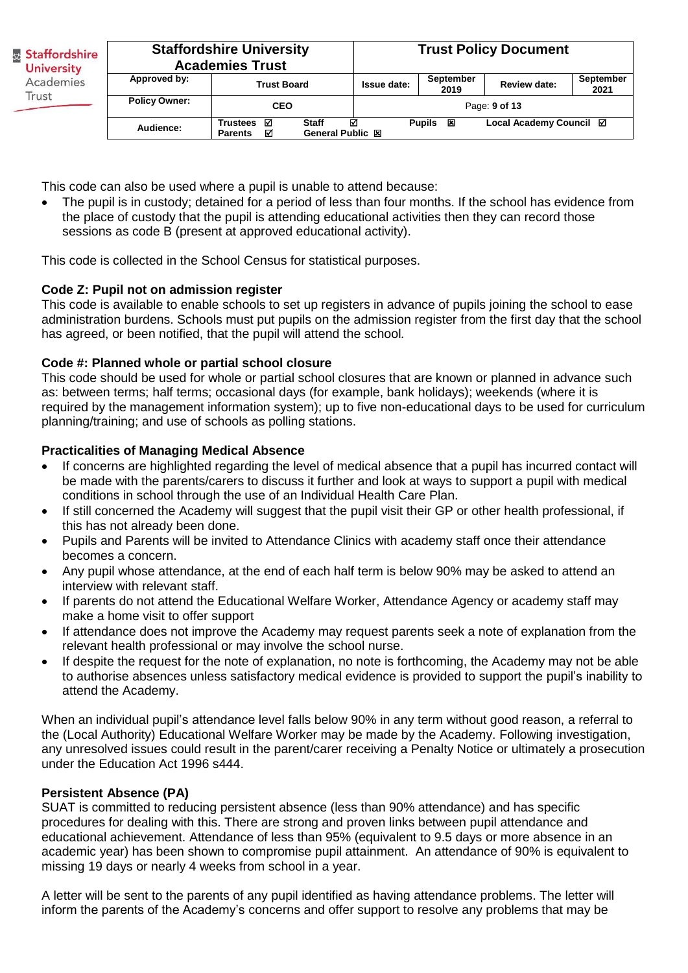| & Staffordshire<br><b>University</b><br>Academies |                      | <b>Staffordshire University</b><br><b>Academies Trust</b>                           | <b>Trust Policy Document</b> |                    |                         |                          |
|---------------------------------------------------|----------------------|-------------------------------------------------------------------------------------|------------------------------|--------------------|-------------------------|--------------------------|
|                                                   | Approved by:         | <b>Trust Board</b>                                                                  | Issue date:                  | September<br>2019  | <b>Review date:</b>     | <b>September</b><br>2021 |
| Trust                                             | <b>Policy Owner:</b> | <b>CEO</b>                                                                          |                              |                    | Page: 9 of 13           |                          |
|                                                   | Audience:            | Trustees <b>☑</b><br><b>Staff</b><br><b>General Public 図</b><br>М<br><b>Parents</b> | ☑                            | <b>Pupils</b><br>図 | Local Academy Council ⊠ |                          |

This code can also be used where a pupil is unable to attend because:

 The pupil is in custody; detained for a period of less than four months. If the school has evidence from the place of custody that the pupil is attending educational activities then they can record those sessions as code B (present at approved educational activity).

This code is collected in the School Census for statistical purposes.

# **Code Z: Pupil not on admission register**

This code is available to enable schools to set up registers in advance of pupils joining the school to ease administration burdens. Schools must put pupils on the admission register from the first day that the school has agreed, or been notified, that the pupil will attend the school*.* 

# **Code #: Planned whole or partial school closure**

This code should be used for whole or partial school closures that are known or planned in advance such as: between terms; half terms; occasional days (for example, bank holidays); weekends (where it is required by the management information system); up to five non-educational days to be used for curriculum planning/training; and use of schools as polling stations.

# **Practicalities of Managing Medical Absence**

- If concerns are highlighted regarding the level of medical absence that a pupil has incurred contact will be made with the parents/carers to discuss it further and look at ways to support a pupil with medical conditions in school through the use of an Individual Health Care Plan.
- If still concerned the Academy will suggest that the pupil visit their GP or other health professional, if this has not already been done.
- Pupils and Parents will be invited to Attendance Clinics with academy staff once their attendance becomes a concern.
- Any pupil whose attendance, at the end of each half term is below 90% may be asked to attend an interview with relevant staff.
- If parents do not attend the Educational Welfare Worker, Attendance Agency or academy staff may make a home visit to offer support
- If attendance does not improve the Academy may request parents seek a note of explanation from the relevant health professional or may involve the school nurse.
- If despite the request for the note of explanation, no note is forthcoming, the Academy may not be able to authorise absences unless satisfactory medical evidence is provided to support the pupil's inability to attend the Academy.

When an individual pupil's attendance level falls below 90% in any term without good reason, a referral to the (Local Authority) Educational Welfare Worker may be made by the Academy. Following investigation, any unresolved issues could result in the parent/carer receiving a Penalty Notice or ultimately a prosecution under the Education Act 1996 s444.

# **Persistent Absence (PA)**

SUAT is committed to reducing persistent absence (less than 90% attendance) and has specific procedures for dealing with this. There are strong and proven links between pupil attendance and educational achievement. Attendance of less than 95% (equivalent to 9.5 days or more absence in an academic year) has been shown to compromise pupil attainment. An attendance of 90% is equivalent to missing 19 days or nearly 4 weeks from school in a year.

A letter will be sent to the parents of any pupil identified as having attendance problems. The letter will inform the parents of the Academy's concerns and offer support to resolve any problems that may be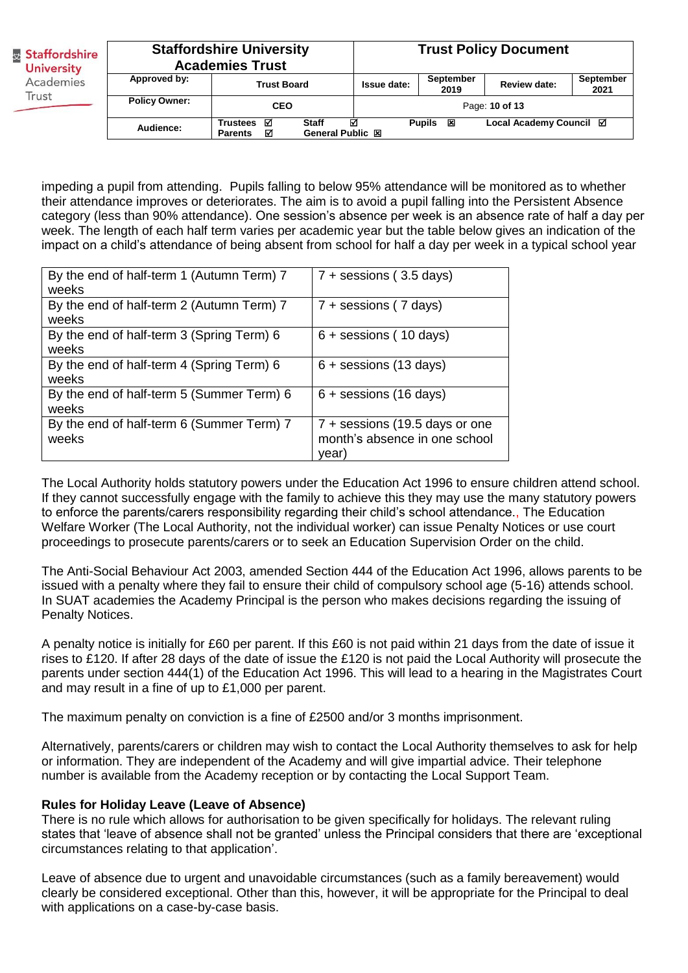| & Staffordshire<br><b>University</b><br>Academies<br>Trust |                      | <b>Staffordshire University</b><br><b>Academies Trust</b>                    | <b>Trust Policy Document</b> |                          |                         |                   |
|------------------------------------------------------------|----------------------|------------------------------------------------------------------------------|------------------------------|--------------------------|-------------------------|-------------------|
|                                                            | Approved by:         | <b>Trust Board</b>                                                           | Issue date:                  | <b>September</b><br>2019 | Review date:            | September<br>2021 |
|                                                            | <b>Policy Owner:</b> | <b>CEO</b>                                                                   |                              |                          | Page: 10 of 13          |                   |
|                                                            | Audience:            | Trustees <b>☑</b><br><b>Staff</b><br>General Public 図<br>☑<br><b>Parents</b> | ⊠                            | <b>Pupils</b><br>×       | Local Academy Council ⊠ |                   |

impeding a pupil from attending. Pupils falling to below 95% attendance will be monitored as to whether their attendance improves or deteriorates. The aim is to avoid a pupil falling into the Persistent Absence category (less than 90% attendance). One session's absence per week is an absence rate of half a day per week. The length of each half term varies per academic year but the table below gives an indication of the impact on a child's attendance of being absent from school for half a day per week in a typical school year

| By the end of half-term 1 (Autumn Term) 7<br>weeks | $7 +$ sessions (3.5 days)                                               |
|----------------------------------------------------|-------------------------------------------------------------------------|
| By the end of half-term 2 (Autumn Term) 7<br>weeks | $7 +$ sessions (7 days)                                                 |
| By the end of half-term 3 (Spring Term) 6<br>weeks | $6 +$ sessions (10 days)                                                |
| By the end of half-term 4 (Spring Term) 6<br>weeks | $6 +$ sessions (13 days)                                                |
| By the end of half-term 5 (Summer Term) 6<br>weeks | $6 +$ sessions (16 days)                                                |
| By the end of half-term 6 (Summer Term) 7<br>weeks | 7 + sessions (19.5 days or one<br>month's absence in one school<br>vear |

The Local Authority holds statutory powers under the Education Act 1996 to ensure children attend school. If they cannot successfully engage with the family to achieve this they may use the many statutory powers to enforce the parents/carers responsibility regarding their child's school attendance., The Education Welfare Worker (The Local Authority, not the individual worker) can issue Penalty Notices or use court proceedings to prosecute parents/carers or to seek an Education Supervision Order on the child.

The Anti-Social Behaviour Act 2003, amended Section 444 of the Education Act 1996, allows parents to be issued with a penalty where they fail to ensure their child of compulsory school age (5-16) attends school. In SUAT academies the Academy Principal is the person who makes decisions regarding the issuing of Penalty Notices.

A penalty notice is initially for £60 per parent. If this £60 is not paid within 21 days from the date of issue it rises to £120. If after 28 days of the date of issue the £120 is not paid the Local Authority will prosecute the parents under section 444(1) of the Education Act 1996. This will lead to a hearing in the Magistrates Court and may result in a fine of up to £1,000 per parent.

The maximum penalty on conviction is a fine of £2500 and/or 3 months imprisonment.

Alternatively, parents/carers or children may wish to contact the Local Authority themselves to ask for help or information. They are independent of the Academy and will give impartial advice. Their telephone number is available from the Academy reception or by contacting the Local Support Team.

### **Rules for Holiday Leave (Leave of Absence)**

There is no rule which allows for authorisation to be given specifically for holidays. The relevant ruling states that 'leave of absence shall not be granted' unless the Principal considers that there are 'exceptional circumstances relating to that application'.

Leave of absence due to urgent and unavoidable circumstances (such as a family bereavement) would clearly be considered exceptional. Other than this, however, it will be appropriate for the Principal to deal with applications on a case-by-case basis.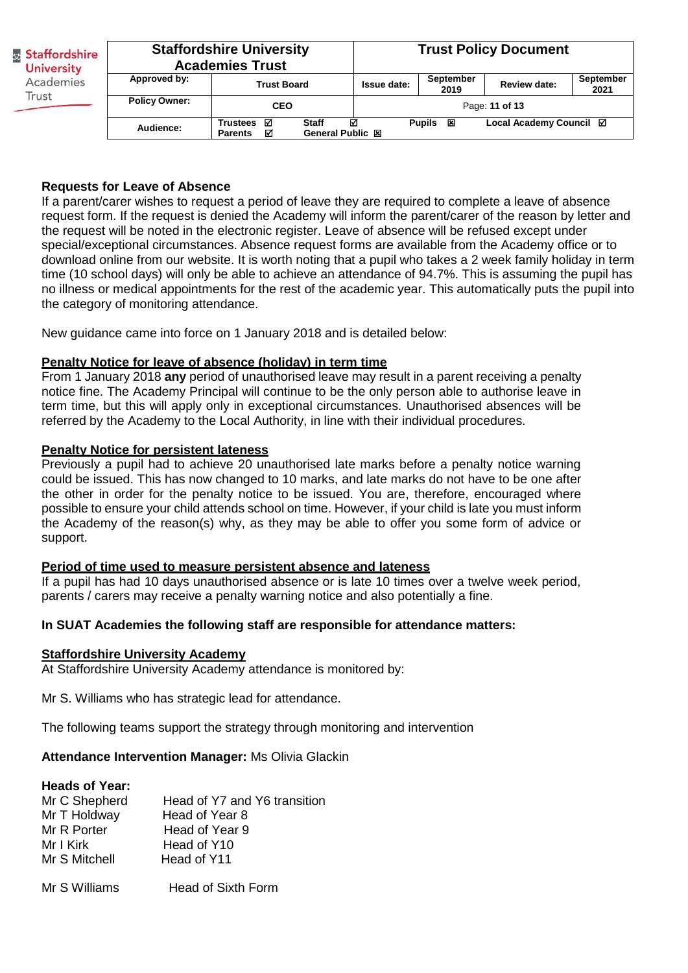| <b>Staffordshire</b><br><b>University</b><br>Academies<br>Trust | <b>Staffordshire University</b><br><b>Academies Trust</b> |                                                                              |                    | <b>Trust Policy Document</b> |                         |                          |
|-----------------------------------------------------------------|-----------------------------------------------------------|------------------------------------------------------------------------------|--------------------|------------------------------|-------------------------|--------------------------|
|                                                                 | Approved by:                                              | <b>Trust Board</b>                                                           | <b>Issue date:</b> | September<br>2019            | <b>Review date:</b>     | <b>September</b><br>2021 |
|                                                                 | <b>Policy Owner:</b>                                      | <b>CEO</b>                                                                   |                    |                              | Page: 11 of 13          |                          |
|                                                                 | Audience:                                                 | <b>Staff</b><br>Trustees <b>☑</b><br>General Public 図<br>М<br><b>Parents</b> | ⊠                  | <b>Pupils</b><br>×           | Local Academy Council ⊠ |                          |

### **Requests for Leave of Absence**

If a parent/carer wishes to request a period of leave they are required to complete a leave of absence request form. If the request is denied the Academy will inform the parent/carer of the reason by letter and the request will be noted in the electronic register. Leave of absence will be refused except under special/exceptional circumstances. Absence request forms are available from the Academy office or to download online from our website. It is worth noting that a pupil who takes a 2 week family holiday in term time (10 school days) will only be able to achieve an attendance of 94.7%. This is assuming the pupil has no illness or medical appointments for the rest of the academic year. This automatically puts the pupil into the category of monitoring attendance.

New guidance came into force on 1 January 2018 and is detailed below:

### **Penalty Notice for leave of absence (holiday) in term time**

From 1 January 2018 **any** period of unauthorised leave may result in a parent receiving a penalty notice fine. The Academy Principal will continue to be the only person able to authorise leave in term time, but this will apply only in exceptional circumstances. Unauthorised absences will be referred by the Academy to the Local Authority, in line with their individual procedures.

### **Penalty Notice for persistent lateness**

Previously a pupil had to achieve 20 unauthorised late marks before a penalty notice warning could be issued. This has now changed to 10 marks, and late marks do not have to be one after the other in order for the penalty notice to be issued. You are, therefore, encouraged where possible to ensure your child attends school on time. However, if your child is late you must inform the Academy of the reason(s) why, as they may be able to offer you some form of advice or support.

### **Period of time used to measure persistent absence and lateness**

If a pupil has had 10 days unauthorised absence or is late 10 times over a twelve week period, parents / carers may receive a penalty warning notice and also potentially a fine.

# **In SUAT Academies the following staff are responsible for attendance matters:**

### **Staffordshire University Academy**

At Staffordshire University Academy attendance is monitored by:

Mr S. Williams who has strategic lead for attendance.

The following teams support the strategy through monitoring and intervention

**Attendance Intervention Manager:** Ms Olivia Glackin

### **Heads of Year:**

| Mr C Shepherd | Head of Y7 and Y6 transition |
|---------------|------------------------------|
| Mr T Holdway  | Head of Year 8               |
| Mr R Porter   | Head of Year 9               |
| Mr I Kirk     | Head of Y10                  |
| Mr S Mitchell | Head of Y11                  |
|               |                              |

Mr S Williams Head of Sixth Form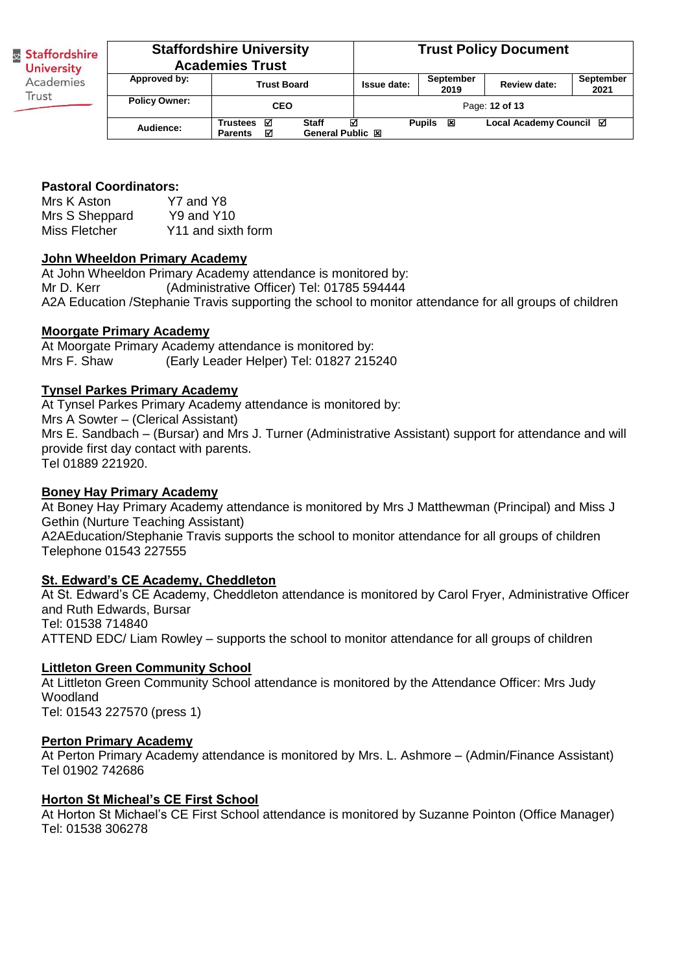| <b>Staffordshire</b><br><b>University</b> | <b>Staffordshire University</b><br><b>Academies Trust</b> |                                                                                     | <b>Trust Policy Document</b> |                    |                         |                   |
|-------------------------------------------|-----------------------------------------------------------|-------------------------------------------------------------------------------------|------------------------------|--------------------|-------------------------|-------------------|
| Approved by:<br>Academies                 |                                                           | <b>Trust Board</b>                                                                  | Issue date:                  | September<br>2019  | <b>Review date:</b>     | September<br>2021 |
| Trust                                     | <b>Policy Owner:</b>                                      | <b>CEO</b>                                                                          | Page: 12 of 13               |                    |                         |                   |
|                                           | Audience:                                                 | <b>Staff</b><br>Trustees <b>☑</b><br><b>General Public 図</b><br>☑<br><b>Parents</b> | ☑                            | <b>Pupils</b><br>図 | Local Academy Council ⊠ |                   |

### **Pastoral Coordinators:**

Mrs K Aston Y7 and Y8 Mrs S Sheppard Y9 and Y10 Miss Fletcher Y11 and sixth form

### **John Wheeldon Primary Academy**

At John Wheeldon Primary Academy attendance is monitored by: Mr D. Kerr (Administrative Officer) Tel: 01785 594444 A2A Education /Stephanie Travis supporting the school to monitor attendance for all groups of children

### **Moorgate Primary Academy**

At Moorgate Primary Academy attendance is monitored by: Mrs F. Shaw (Early Leader Helper) Tel: 01827 215240

### **Tynsel Parkes Primary Academy**

At Tynsel Parkes Primary Academy attendance is monitored by: Mrs A Sowter – (Clerical Assistant) Mrs E. Sandbach – (Bursar) and Mrs J. Turner (Administrative Assistant) support for attendance and will provide first day contact with parents. Tel 01889 221920.

#### **Boney Hay Primary Academy**

At Boney Hay Primary Academy attendance is monitored by Mrs J Matthewman (Principal) and Miss J Gethin (Nurture Teaching Assistant) A2AEducation/Stephanie Travis supports the school to monitor attendance for all groups of children Telephone 01543 227555

### **St. Edward's CE Academy, Cheddleton**

At St. Edward's CE Academy, Cheddleton attendance is monitored by Carol Fryer, Administrative Officer and Ruth Edwards, Bursar Tel: 01538 714840 ATTEND EDC/ Liam Rowley – supports the school to monitor attendance for all groups of children

### **Littleton Green Community School**

At Littleton Green Community School attendance is monitored by the Attendance Officer: Mrs Judy Woodland Tel: 01543 227570 (press 1)

#### **Perton Primary Academy**

At Perton Primary Academy attendance is monitored by Mrs. L. Ashmore – (Admin/Finance Assistant) Tel 01902 742686

### **Horton St Micheal's CE First School**

At Horton St Michael's CE First School attendance is monitored by Suzanne Pointon (Office Manager) Tel: 01538 306278